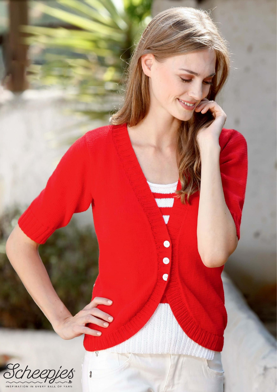

W

 $\overline{Q}$ 

8

 $\bullet$ 

 $\overline{\bullet}$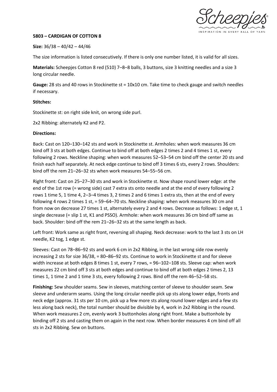

## **5803 – CARDIGAN OF COTTON 8**

## **Size:** 36/38 – 40/42 – 44/46

The size information is listed consecutively. If there is only one number listed, it is valid for all sizes.

**Materials:** Scheepjes Cotton 8 red (510) 7–8–8 balls, 3 buttons, size 3 knitting needles and a size 3 long circular needle.

**Gauge:** 28 sts and 40 rows in Stockinette st = 10x10 cm. Take time to check gauge and switch needles if necessary.

## **Stitches:**

Stockinette st: on right side knit, on wrong side purl.

2x2 Ribbing: alternately K2 and P2.

## **Directions:**

Back: Cast on 120–130–142 sts and work in Stockinette st. Armholes: when work measures 36 cm bind off 3 sts at both edges. Continue to bind off at both edges 2 times 2 and 4 times 1 st, every following 2 rows. Neckline shaping: when work measures 52–53–54 cm bind off the center 20 sts and finish each half separately. At neck edge continue to bind off 3 times 6 sts, every 2 rows. Shoulders: bind off the rem 21–26–32 sts when work measures 54–55–56 cm.

Right front: Cast on 25–27–30 sts and work in Stockinette st. Now shape round lower edge: at the end of the 1st row (= wrong side) cast 7 extra sts onto needle and at the end of every following 2 rows 1 time 5, 1 time 4, 2–3–4 times 3, 2 times 2 and 6 times 1 extra sts, then at the end of every following 4 rows 2 times 1 st, = 59–64–70 sts. Neckline shaping: when work measures 30 cm and from now on decrease 27 times 1 st, alternately every 2 and 4 rows. Decrease as follows: 1 edge st, 1 single decrease (= slip 1 st, K1 and PSSO). Armhole: when work measures 36 cm bind off same as back. Shoulder: bind off the rem 21–26–32 sts at the same length as back.

Left front: Work same as right front, reversing all shaping. Neck decrease: work to the last 3 sts on LH needle, K2 tog, 1 edge st.

Sleeves: Cast on 78–86–92 sts and work 6 cm in 2x2 Ribbing, in the last wrong side row evenly increasing 2 sts for size 36/38, = 80–86–92 sts. Continue to work in Stockinette st and for sleeve width increase at both edges 8 times 1 st, every 7 rows, = 96–102–108 sts. Sleeve cap: when work measures 22 cm bind off 3 sts at both edges and continue to bind off at both edges 2 times 2, 13 times 1, 1 time 2 and 1 time 3 sts, every following 2 rows. Bind off the rem 46–52–58 sts.

**Finishing:** Sew shoulder seams. Sew in sleeves, matching center of sleeve to shoulder seam. Sew sleeve and underarm seams. Using the long circular needle pick up sts along lower edge, fronts and neck edge (approx. 31 sts per 10 cm, pick up a few more sts along round lower edges and a few sts less along back neck), the total number should be divisible by 4, work in 2x2 Ribbing in the round. When work measures 2 cm, evenly work 3 buttonholes along right front. Make a buttonhole by binding off 2 sts and casting them on again in the next row. When border measures 4 cm bind off all sts in 2x2 Ribbing. Sew on buttons.